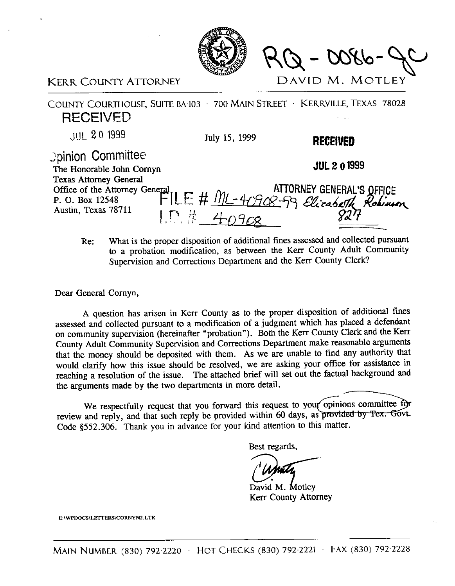

 $-00860 - 0086$ 

## KERR COUNTY ATTORNEY DAVID M. MOTLEY

COUNTY COURTHOUSE, SUITE BA-103 · 700 MAIN STREET · KERRVILLE, TEXAS 78028 RECEIVED JUL **20 1999**  July 15, 1999

>pinion Committee

The Honorable John Comvn Texas Attorney General . Office of the Attorney General  $\mathbf{H} = \mathbf{H} \mathbf{M}$  and  $\mathbf{A}$  **ATTORNEY** G P. 0. Box 12548 Austin, Texas 78711

**JUL 2 0 1999** 

RECEIVED

Re: What is the proper disposition of additional fines assessed and collected pursuant

to a probation modification, as between the Kerr County Adult Community Supervision and Corrections Department and the Kerr County Clerk?

Dear General Comyn,

A question has arisen in Kerr County as to the proper disposition of additional fines assessed and collected pursuant to a modification of a judgment which has placed a defendant on community supervision (hereinafter "probation"). Both the Kerr County Clerk and the Kerr County Adult Community Supervision and Corrections Department make reasonable arguments that the money should be deposited with them. As we are unable to find any authority that would clarify how this issue should be resolved, we are asking your office for assistance in reaching a resolution of the issue. The attached brief will set out the factual background and the arguments made by the two departments in more detail.

We respectfully request that you forward this request to your opinions committee for review and reply, and that such reply be provided within 60 days, as provided by Tex. Govt. Code \$552.306. Thank you in advance for your kind attention to this matter.

Best regards,

David M. Motley Kerr County Attorney

E:\WPDOCS\LETTERS\CORNYN2.LTR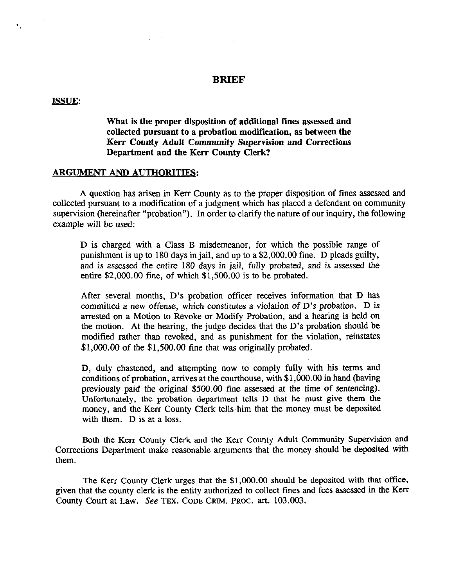## **BRIEF**

## **ISSUE:**

**What is the proper disposition of additional fines assessed and collected pursuant to a probation modification, as between the Kerr County Adult Community Supervision and Corrections Department and the Kerr County Clerk?** 

## **ARGUMENT AND AUTHORITIES:**

 $\Delta \sim 10^{11}$  km s  $^{-1}$ 

A question has arisen in Kerr County as to the proper disposition of fines assessed and collected pursuant to a modification of a judgment which has placed a defendant on community supervision (hereinafter "probation"). In order to clarify the nature of our inquiry, the following example will be used:

D is charged with a Class B misdemeanor, for which the possible range of punishment is up to 180 days in jail, and up to a \$2,000.00 fine. D pleads guilty, and is assessed the entire 180 days in jail, fully probated, and is assessed the entire \$2,000.00 fine, of which \$1,500.00 is to be probated.

After several months, D's probation officer receives information that D has committed a new offense, which constitutes a violation of D's probation. D is arrested on a Motion to Revoke or Modify Probation, and a hearing is held on the motion. At the hearing, the judge decides that the D's probation should be modified rather than revoked, and as punishment for the violation, reinstates \$l,OOO.OO of the \$1,500.00 fine that was originally probated.

D, duly chastened, and attempting now to comply fully with his terms and conditions of probation, arrives at the courthouse, with \$1,000.00 in hand (having previously paid the original \$500.00 tine assessed at the time of sentencing). Unfortunately, the probation department tells D that he must give them the money, and the Kerr County Clerk tells him that the money must be deposited with them. D is at a loss.

Both the Kerr County Clerk and the Kerr County Adult Community Supervision and Corrections Department make reasonable arguments that the money should be deposited with them.

The Kerr County Clerk urges that the \$1,000.00 should be deposited with that office, given that the county clerk is the entity authorized to collect fines and fees assessed in the Kerr County Court at Law. See **TEX. CODE GRIM. PROC. art.** 103.003.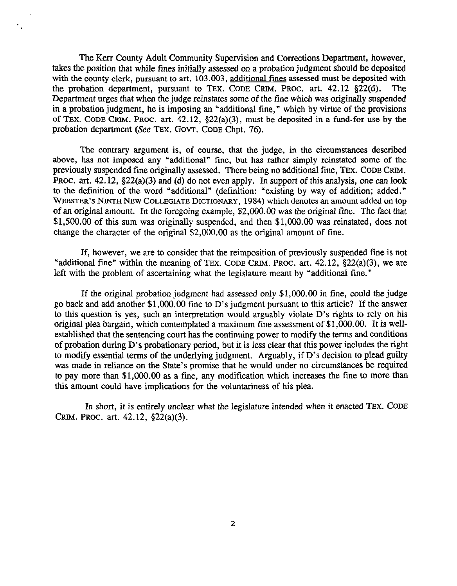The Kerr County Adult Community Supervision and Corrections Department, however, takes the position that while fines initially assessed on a probation judgment should be deposited with the county clerk, pursuant to art. 103.003, additional fines assessed must be deposited with the probation department, pursuant to TEX. CODE CRIM, PROC. art.  $42.12 \text{ §}22(d)$ . The Department urges that when the judge reinstates some of the fine which was originally suspended in a probation judgment, he is imposing an "additional tine," which by virtue of the provisions of TEX. CODE CRIM. PROC. art.  $42.12$ ,  $\S22(a)(3)$ , must be deposited in a fund-for use by the probation department (See TEX. GOVT. CODE Chpt. 76).

The contrary argument is, of course, that the judge, in the circumstances described above, has not imposed any "additional" fine, but has rather simply reinstated some of the previously suspended fine originally assessed. There being no additional fine, TEX. CODE GRIM. PROC. art. 42.12, §22(a)(3) and (d) do not even apply. In support of this analysis, one can look to the definition of the word "additional" (definition: "existing by way of addition; added." WEBSTER'S NINTH NEW COLLEGIATE DICTIONARY, 1984) which denotes an amount added on top of an original amount. In the foregoing example, \$2,000.00 was the original fine. The fact that \$1,500.00 of this sum was originally suspended, and then \$1,000.00 was reinstated, does not change the character of the original \$2,000.00 as the original amount of fine.

If, however, we are to consider that the reimposition of previously suspended fine is not **"additional** fine" within the meaning of TEX. CODE GRIM. PROC. art. 42.12, \$22(a)(3), we are left with the problem of ascertaining what the legislature meant by "additional fine."

If the original probation judgment had assessed only  $$1,000.00$  in fine, could the judge go back and add another \$1,000.00 fine to D's judgment pursuant to this article? If the answer to this question is yes, such an interpretation would arguably violate D's rights to rely on his original plea bargain, which contemplated a maximum fine assessment of \$l,OOO.OO. It is wellestablished that the sentencing court has the continuing power to modify the terms and conditions of probation during D's probationary period, but it is less clear that this power includes the right to modify essential terms of the underlying judgment. Arguably, if D's decision to plead guilty was made in reliance on the State's promise that he would under no circumstances be required to pay more than \$1,000.00 as a fine, any modification which increases the fine to more than this amount could have implications for the voluntariness of his plea.

In short, it is entirely unclear what the legislature intended when it enacted TEX. CODE GRIM. PROC. art. 42.12, \$22(a)(3).